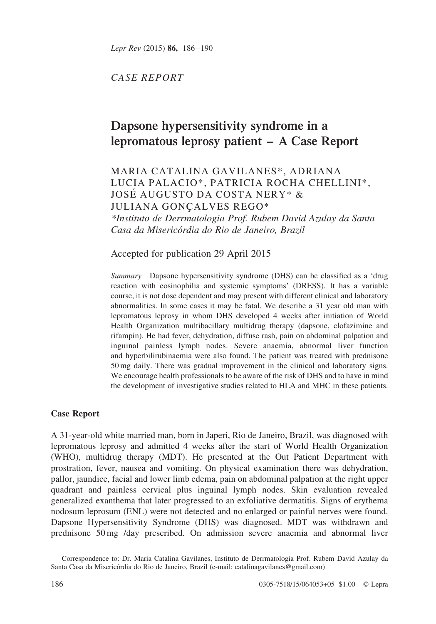Lepr Rev (2015) 86, 186–190

CASE REPORT

# Dapsone hypersensitivity syndrome in a lepromatous leprosy patient – A Case Report

## MARIA CATALINA GAVILANES\*, ADRIANA LUCIA PALACIO\*, PATRICIA ROCHA CHELLINI\*, JOSE´ AUGUSTO DA COSTA NERY\* & JULIANA GONCALVES REGO\*

\*Instituto de Derrmatologia Prof. Rubem David Azulay da Santa Casa da Misericórdia do Rio de Janeiro, Brazil

Accepted for publication 29 April 2015

Summary Dapsone hypersensitivity syndrome (DHS) can be classified as a 'drug reaction with eosinophilia and systemic symptoms' (DRESS). It has a variable course, it is not dose dependent and may present with different clinical and laboratory abnormalities. In some cases it may be fatal. We describe a 31 year old man with lepromatous leprosy in whom DHS developed 4 weeks after initiation of World Health Organization multibacillary multidrug therapy (dapsone, clofazimine and rifampin). He had fever, dehydration, diffuse rash, pain on abdominal palpation and inguinal painless lymph nodes. Severe anaemia, abnormal liver function and hyperbilirubinaemia were also found. The patient was treated with prednisone 50 mg daily. There was gradual improvement in the clinical and laboratory signs. We encourage health professionals to be aware of the risk of DHS and to have in mind the development of investigative studies related to HLA and MHC in these patients.

## Case Report

A 31-year-old white married man, born in Japeri, Rio de Janeiro, Brazil, was diagnosed with lepromatous leprosy and admitted 4 weeks after the start of World Health Organization (WHO), multidrug therapy (MDT). He presented at the Out Patient Department with prostration, fever, nausea and vomiting. On physical examination there was dehydration, pallor, jaundice, facial and lower limb edema, pain on abdominal palpation at the right upper quadrant and painless cervical plus inguinal lymph nodes. Skin evaluation revealed generalized exanthema that later progressed to an exfoliative dermatitis. Signs of erythema nodosum leprosum (ENL) were not detected and no enlarged or painful nerves were found. Dapsone Hypersensitivity Syndrome (DHS) was diagnosed. MDT was withdrawn and prednisone 50 mg /day prescribed. On admission severe anaemia and abnormal liver

Correspondence to: Dr. Maria Catalina Gavilanes, Instituto de Derrmatologia Prof. Rubem David Azulay da Santa Casa da Misericórdia do Rio de Janeiro, Brazil (e-mail: catalinagavilanes@gmail.com)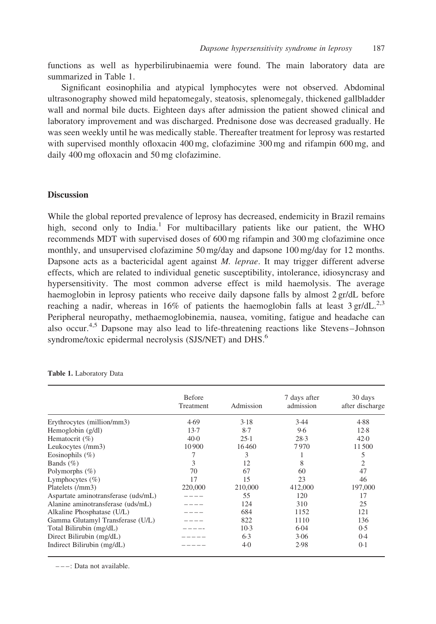functions as well as hyperbilirubinaemia were found. The main laboratory data are summarized in Table 1.

Significant eosinophilia and atypical lymphocytes were not observed. Abdominal ultrasonography showed mild hepatomegaly, steatosis, splenomegaly, thickened gallbladder wall and normal bile ducts. Eighteen days after admission the patient showed clinical and laboratory improvement and was discharged. Prednisone dose was decreased gradually. He was seen weekly until he was medically stable. Thereafter treatment for leprosy was restarted with supervised monthly ofloxacin 400 mg, clofazimine 300 mg and rifampin 600 mg, and daily 400 mg ofloxacin and 50 mg clofazimine.

## **Discussion**

While the global reported prevalence of leprosy has decreased, endemicity in Brazil remains high, second only to India.<sup>[1](#page-4-0)</sup> For multibacillary patients like our patient, the WHO recommends MDT with supervised doses of 600 mg rifampin and 300 mg clofazimine once monthly, and unsupervised clofazimine 50 mg/day and dapsone 100 mg/day for 12 months. Dapsone acts as a bactericidal agent against *M. leprae*. It may trigger different adverse effects, which are related to individual genetic susceptibility, intolerance, idiosyncrasy and hypersensitivity. The most common adverse effect is mild haemolysis. The average haemoglobin in leprosy patients who receive daily dapsone falls by almost 2 gr/dL before reaching a nadir, whereas in 16% of patients the haemoglobin falls at least  $3 \text{ gr/dL}^{2,3}$  $3 \text{ gr/dL}^{2,3}$  $3 \text{ gr/dL}^{2,3}$ Peripheral neuropathy, methaemoglobinemia, nausea, vomiting, fatigue and headache can also occur.[4,5](#page-4-0) Dapsone may also lead to life-threatening reactions like Stevens–Johnson syndrome/toxic epidermal necrolysis (SJS/NET) and DHS.<sup>[6](#page-4-0)</sup>

|                                     | <b>Before</b>    |           | 7 days after | 30 days         |
|-------------------------------------|------------------|-----------|--------------|-----------------|
|                                     | <b>Treatment</b> | Admission | admission    | after discharge |
| Erythrocytes (million/mm3)          | 4.69             | 3.18      | 3.44         | 4.88            |
| Hemoglobin $(g/dl)$                 | 13.7             | 8.7       | 9.6          | 12.8            |
| Hematocrit $(\% )$                  | $40-0$           | 25.1      | 28.3         | 42.0            |
| Leukocytes (/mm3)                   | 10 900           | 16460     | 7970         | 11500           |
| Eosinophils $(\% )$                 | 7                | 3         |              | 5               |
| Bands $(\% )$                       | 3                | 12        | 8            | $\overline{c}$  |
| Polymorphs $(\% )$                  | 70               | 67        | 60           | 47              |
| Lymphocytes $(\% )$                 | 17               | 15        | 23           | 46              |
| Platelets (/mm3)                    | 220,000          | 210,000   | 412,000      | 197,000         |
| Aspartate aminotransferase (uds/mL) |                  | 55        | 120          | 17              |
| Alanine aminotransferase (uds/mL)   |                  | 124       | 310          | 25              |
| Alkaline Phosphatase (U/L)          |                  | 684       | 1152         | 121             |
| Gamma Glutamyl Transferase (U/L)    |                  | 822       | 1110         | 136             |
| Total Bilirubin (mg/dL)             |                  | $10-3$    | 6.04         | 0.5             |
| Direct Bilirubin (mg/dL)            |                  | 6.3       | 3.06         | 0.4             |
| Indirect Bilirubin (mg/dL)          |                  | 4.0       | 2.98         | 0.1             |

Table 1. Laboratory Data

 $---: Data not available.$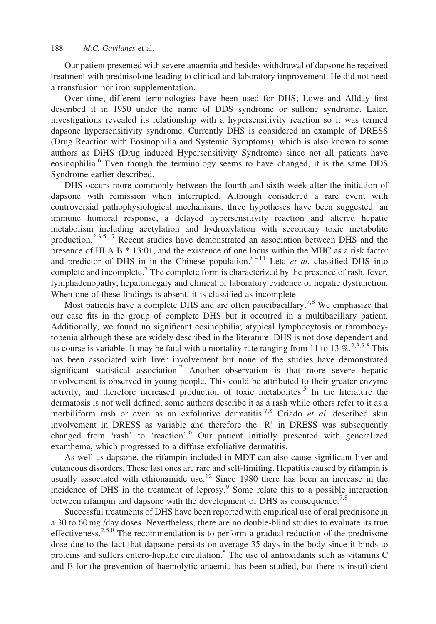Our patient presented with severe anaemia and besides withdrawal of dapsone he received treatment with prednisolone leading to clinical and laboratory improvement. He did not need a transfusion nor iron supplementation.

Over time, different terminologies have been used for DHS; Lowe and Allday first described it in 1950 under the name of DDS syndrome or sulfone syndrome. Later, investigations revealed its relationship with a hypersensitivity reaction so it was termed dapsone hypersensitivity syndrome. Currently DHS is considered an example of DRESS (Drug Reaction with Eosinophilia and Systemic Symptoms), which is also known to some authors as DiHS (Drug induced Hypersensitivity Syndrome) since not all patients have eosinophilia.<sup>[6](#page-4-0)</sup> Even though the terminology seems to have changed, it is the same DDS Syndrome earlier described.

DHS occurs more commonly between the fourth and sixth week after the initiation of dapsone with remission when interrupted. Although considered a rare event with controversial pathophysiological mechanisms, three hypotheses have been suggested: an immune humoral response, a delayed hypersensitivity reaction and altered hepatic metabolism including acetylation and hydroxylation with secondary toxic metabolite production.<sup>2,3,5-7</sup> Recent studies have demonstrated an association between DHS and the presence of HLA B \* 13:01, and the existence of one locus within the MHC as a risk factor and predictor of DHS in in the Chinese population.<sup>8-11</sup> Leta *et al.* classified DHS into complete and incomplete.<sup>[7](#page-4-0)</sup> The complete form is characterized by the presence of rash, fever, lymphadenopathy, hepatomegaly and clinical or laboratory evidence of hepatic dysfunction. When one of these findings is absent, it is classified as incomplete.

Most patients have a complete DHS and are often paucibacillary.<sup>[7,8](#page-4-0)</sup> We emphasize that our case fits in the group of complete DHS but it occurred in a multibacillary patient. Additionally, we found no significant eosinophilia; atypical lymphocytosis or thrombocytopenia although these are widely described in the literature. DHS is not dose dependent and its course is variable. It may be fatal with a mortality rate ranging from 11 to 13  $\%$ <sup>2,3,7,8</sup> This has been associated with liver involvement but none of the studies have demonstrated significant statistical association.<sup>[7](#page-4-0)</sup> Another observation is that more severe hepatic involvement is observed in young people. This could be attributed to their greater enzyme activity, and therefore increased production of toxic metabolites.<sup>[5](#page-4-0)</sup> In the literature the dermatosis is not well defined, some authors describe it as a rash while others refer to it as a morbiliform rash or even as an exfoliative dermatitis.<sup>[7,8](#page-4-0)</sup> Criado *et al.* described skin involvement in DRESS as variable and therefore the 'R' in DRESS was subsequently changed from 'rash' to 'reaction'.<sup>[6](#page-4-0)</sup> Our patient initially presented with generalized exanthema, which progressed to a diffuse exfoliative dermatitis.

As well as dapsone, the rifampin included in MDT can also cause significant liver and cutaneous disorders. These last ones are rare and self-limiting. Hepatitis caused by rifampin is usually associated with ethionamide use.<sup>[12](#page-4-0)</sup> Since 1980 there has been an increase in the incidence of DHS in the treatment of leprosy[.9](#page-4-0) Some relate this to a possible interaction between rifampin and dapsone with the development of DHS as consequence.<sup>[7,8](#page-4-0)</sup>

Successful treatments of DHS have been reported with empirical use of oral prednisone in a 30 to 60 mg /day doses. Nevertheless, there are no double-blind studies to evaluate its true effectiveness.<sup>[2,5,8](#page-4-0)</sup> The recommendation is to perform a gradual reduction of the prednisone dose due to the fact that dapsone persists on average 35 days in the body since it binds to proteins and suffers entero-hepatic circulation.<sup>[5](#page-4-0)</sup> The use of antioxidants such as vitamins C and E for the prevention of haemolytic anaemia has been studied, but there is insufficient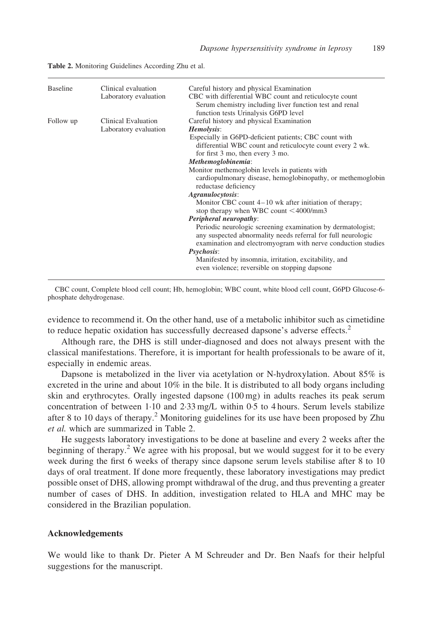| <b>Baseline</b> | Clinical evaluation   | Careful history and physical Examination                     |
|-----------------|-----------------------|--------------------------------------------------------------|
|                 | Laboratory evaluation | CBC with differential WBC count and reticulocyte count       |
|                 |                       | Serum chemistry including liver function test and renal      |
|                 |                       | function tests Urinalysis G6PD level                         |
| Follow up       | Clinical Evaluation   | Careful history and physical Examination                     |
|                 | Laboratory evaluation | Hemolysis:                                                   |
|                 |                       | Especially in G6PD-deficient patients; CBC count with        |
|                 |                       | differential WBC count and reticulocyte count every 2 wk.    |
|                 |                       | for first 3 mo, then every 3 mo.                             |
|                 |                       | Methemoglobinemia:                                           |
|                 |                       | Monitor methemoglobin levels in patients with                |
|                 |                       | cardiopulmonary disease, hemoglobinopathy, or methemoglobin  |
|                 |                       | reductase deficiency                                         |
|                 |                       | Agranulocytosis:                                             |
|                 |                       | Monitor CBC count $4-10$ wk after initiation of therapy;     |
|                 |                       | stop therapy when WBC count $\leq 4000$ /mm3                 |
|                 |                       | Peripheral neuropathy:                                       |
|                 |                       | Periodic neurologic screening examination by dermatologist;  |
|                 |                       | any suspected abnormality needs referral for full neurologic |
|                 |                       | examination and electromyogram with nerve conduction studies |
|                 |                       | <i>Psychosis:</i>                                            |
|                 |                       | Manifested by insomnia, irritation, excitability, and        |
|                 |                       | even violence; reversible on stopping dapsone                |
|                 |                       |                                                              |

Table 2. Monitoring Guidelines According Zhu et al.

CBC count, Complete blood cell count; Hb, hemoglobin; WBC count, white blood cell count, G6PD Glucose-6 phosphate dehydrogenase.

evidence to recommend it. On the other hand, use of a metabolic inhibitor such as cimetidine to reduce hepatic oxidation has successfully decreased dapsone's adverse effects.<sup>[2](#page-4-0)</sup>

Although rare, the DHS is still under-diagnosed and does not always present with the classical manifestations. Therefore, it is important for health professionals to be aware of it, especially in endemic areas.

Dapsone is metabolized in the liver via acetylation or N-hydroxylation. About 85% is excreted in the urine and about 10% in the bile. It is distributed to all body organs including skin and erythrocytes. Orally ingested dapsone (100 mg) in adults reaches its peak serum concentration of between 1·10 and 2·33 mg/L within 0·5 to 4 hours. Serum levels stabilize after 8 to 10 days of therapy.<sup>[2](#page-4-0)</sup> Monitoring guidelines for its use have been proposed by Zhu et al. which are summarized in Table 2.

He suggests laboratory investigations to be done at baseline and every 2 weeks after the beginning of therapy.<sup>[2](#page-4-0)</sup> We agree with his proposal, but we would suggest for it to be every week during the first 6 weeks of therapy since dapsone serum levels stabilise after 8 to 10 days of oral treatment. If done more frequently, these laboratory investigations may predict possible onset of DHS, allowing prompt withdrawal of the drug, and thus preventing a greater number of cases of DHS. In addition, investigation related to HLA and MHC may be considered in the Brazilian population.

### Acknowledgements

We would like to thank Dr. Pieter A M Schreuder and Dr. Ben Naafs for their helpful suggestions for the manuscript.